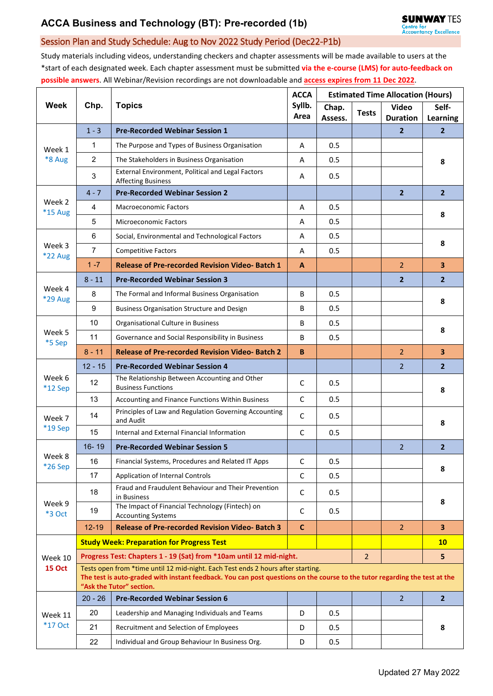## Session Plan and Study Schedule: Aug to Nov 2022 Study Period (Dec22-P1b)

Study materials including videos, understanding checkers and chapter assessments will be made available to users at the \*start of each designated week. Each chapter assessment must be submitted **via the e-course (LMS) for auto-feedback on possible answers**. All Webinar/Revision recordings are not downloadable and **access expires from 11 Dec 2022**.

| <b>Week</b>              | Chp.                                                                                                                                                                                                           | <b>Topics</b>                                                                | <b>ACCA</b><br>Syllb.<br>Area | <b>Estimated Time Allocation (Hours)</b> |              |                                 |                            |  |  |  |
|--------------------------|----------------------------------------------------------------------------------------------------------------------------------------------------------------------------------------------------------------|------------------------------------------------------------------------------|-------------------------------|------------------------------------------|--------------|---------------------------------|----------------------------|--|--|--|
|                          |                                                                                                                                                                                                                |                                                                              |                               | Chap.                                    | <b>Tests</b> | Video                           | Self-                      |  |  |  |
|                          | $1 - 3$                                                                                                                                                                                                        | <b>Pre-Recorded Webinar Session 1</b>                                        |                               | Assess.                                  |              | <b>Duration</b><br>$\mathbf{2}$ | Learning<br>$\overline{2}$ |  |  |  |
| Week 1<br>*8 Aug         | 1                                                                                                                                                                                                              | The Purpose and Types of Business Organisation                               | A                             | 0.5                                      |              |                                 |                            |  |  |  |
|                          | $\overline{2}$                                                                                                                                                                                                 | The Stakeholders in Business Organisation                                    | A                             | 0.5                                      |              |                                 | 8                          |  |  |  |
|                          |                                                                                                                                                                                                                | External Environment, Political and Legal Factors                            |                               |                                          |              |                                 |                            |  |  |  |
|                          | 3                                                                                                                                                                                                              | <b>Affecting Business</b>                                                    | A                             | 0.5                                      |              |                                 |                            |  |  |  |
| Week 2<br>*15 Aug        | $4 - 7$                                                                                                                                                                                                        | <b>Pre-Recorded Webinar Session 2</b>                                        |                               |                                          |              | $\overline{2}$                  | $\overline{2}$             |  |  |  |
|                          | 4                                                                                                                                                                                                              | <b>Macroeconomic Factors</b>                                                 | A                             | 0.5                                      |              |                                 | 8                          |  |  |  |
|                          | 5                                                                                                                                                                                                              | <b>Microeconomic Factors</b>                                                 | А                             | 0.5                                      |              |                                 |                            |  |  |  |
| Week 3<br><b>*22 Aug</b> | 6                                                                                                                                                                                                              | Social, Environmental and Technological Factors                              | A                             | 0.5                                      |              |                                 | 8                          |  |  |  |
|                          | $\overline{7}$                                                                                                                                                                                                 | <b>Competitive Factors</b>                                                   | A                             | 0.5                                      |              |                                 |                            |  |  |  |
|                          | $1 - 7$                                                                                                                                                                                                        | <b>Release of Pre-recorded Revision Video-Batch 1</b>                        | A                             |                                          |              | $\overline{2}$                  | $\overline{\mathbf{3}}$    |  |  |  |
| Week 4<br><b>*29 Aug</b> | $8 - 11$                                                                                                                                                                                                       | <b>Pre-Recorded Webinar Session 3</b>                                        |                               |                                          |              | $\overline{2}$                  | 2 <sup>2</sup>             |  |  |  |
|                          | 8                                                                                                                                                                                                              | The Formal and Informal Business Organisation                                | B                             | 0.5                                      |              |                                 | 8                          |  |  |  |
|                          | 9                                                                                                                                                                                                              | <b>Business Organisation Structure and Design</b>                            | B                             | 0.5                                      |              |                                 |                            |  |  |  |
| Week 5<br>*5 Sep         | 10                                                                                                                                                                                                             | Organisational Culture in Business                                           | B                             | 0.5                                      |              |                                 | 8                          |  |  |  |
|                          | 11                                                                                                                                                                                                             | Governance and Social Responsibility in Business                             | B                             | 0.5                                      |              |                                 |                            |  |  |  |
|                          | $8 - 11$                                                                                                                                                                                                       | <b>Release of Pre-recorded Revision Video-Batch 2</b>                        | B                             |                                          |              | $\overline{2}$                  | $\overline{\mathbf{3}}$    |  |  |  |
| Week 6<br>$*12$ Sep      | $12 - 15$                                                                                                                                                                                                      | <b>Pre-Recorded Webinar Session 4</b>                                        |                               |                                          |              | $\overline{2}$                  | $\overline{2}$             |  |  |  |
|                          | 12                                                                                                                                                                                                             | The Relationship Between Accounting and Other<br><b>Business Functions</b>   | C                             | 0.5                                      |              |                                 | 8                          |  |  |  |
|                          | 13                                                                                                                                                                                                             | Accounting and Finance Functions Within Business                             | C                             | 0.5                                      |              |                                 |                            |  |  |  |
| Week 7<br>*19 Sep        | 14                                                                                                                                                                                                             | Principles of Law and Regulation Governing Accounting<br>and Audit           | C                             | 0.5                                      |              |                                 | 8                          |  |  |  |
|                          | 15                                                                                                                                                                                                             | Internal and External Financial Information                                  | C                             | 0.5                                      |              |                                 |                            |  |  |  |
|                          | 16-19                                                                                                                                                                                                          | <b>Pre-Recorded Webinar Session 5</b>                                        |                               |                                          |              | $\overline{2}$                  | $\overline{2}$             |  |  |  |
| Week 8<br>*26 Sep        | 16                                                                                                                                                                                                             | Financial Systems, Procedures and Related IT Apps                            | C                             | 0.5                                      |              |                                 | 8                          |  |  |  |
|                          | 17                                                                                                                                                                                                             | Application of Internal Controls                                             | C                             | 0.5                                      |              |                                 |                            |  |  |  |
| Week 9<br><b>*3 Oct</b>  | 18                                                                                                                                                                                                             | Fraud and Fraudulent Behaviour and Their Prevention<br>in Business           | C                             | 0.5                                      |              |                                 | 8                          |  |  |  |
|                          | 19                                                                                                                                                                                                             | The Impact of Financial Technology (Fintech) on<br><b>Accounting Systems</b> | C                             | 0.5                                      |              |                                 |                            |  |  |  |
|                          | $12 - 19$                                                                                                                                                                                                      | <b>Release of Pre-recorded Revision Video-Batch 3</b>                        | $\mathsf{C}$                  |                                          |              | $\overline{2}$                  | 3 <sup>1</sup>             |  |  |  |
| Week 10<br><b>15 Oct</b> |                                                                                                                                                                                                                | <b>Study Week: Preparation for Progress Test</b>                             |                               |                                          |              |                                 | 10 <sub>1</sub>            |  |  |  |
|                          | $\overline{2}$<br>Progress Test: Chapters 1 - 19 (Sat) from *10am until 12 mid-night.                                                                                                                          |                                                                              |                               |                                          |              |                                 |                            |  |  |  |
|                          | Tests open from *time until 12 mid-night. Each Test ends 2 hours after starting.<br>The test is auto-graded with instant feedback. You can post questions on the course to the tutor regarding the test at the |                                                                              |                               |                                          |              |                                 |                            |  |  |  |
|                          | $20 - 26$                                                                                                                                                                                                      | "Ask the Tutor" section.<br><b>Pre-Recorded Webinar Session 6</b>            |                               |                                          |              | $\overline{2}$                  | $\overline{2}$             |  |  |  |
| Week 11<br>*17 Oct       | 20                                                                                                                                                                                                             |                                                                              | D                             |                                          |              |                                 |                            |  |  |  |
|                          | 21                                                                                                                                                                                                             | Leadership and Managing Individuals and Teams                                |                               | 0.5                                      |              |                                 | 8                          |  |  |  |
|                          |                                                                                                                                                                                                                | Recruitment and Selection of Employees                                       | D                             | 0.5                                      |              |                                 |                            |  |  |  |
|                          | 22                                                                                                                                                                                                             | Individual and Group Behaviour In Business Org.                              | D                             | 0.5                                      |              |                                 |                            |  |  |  |